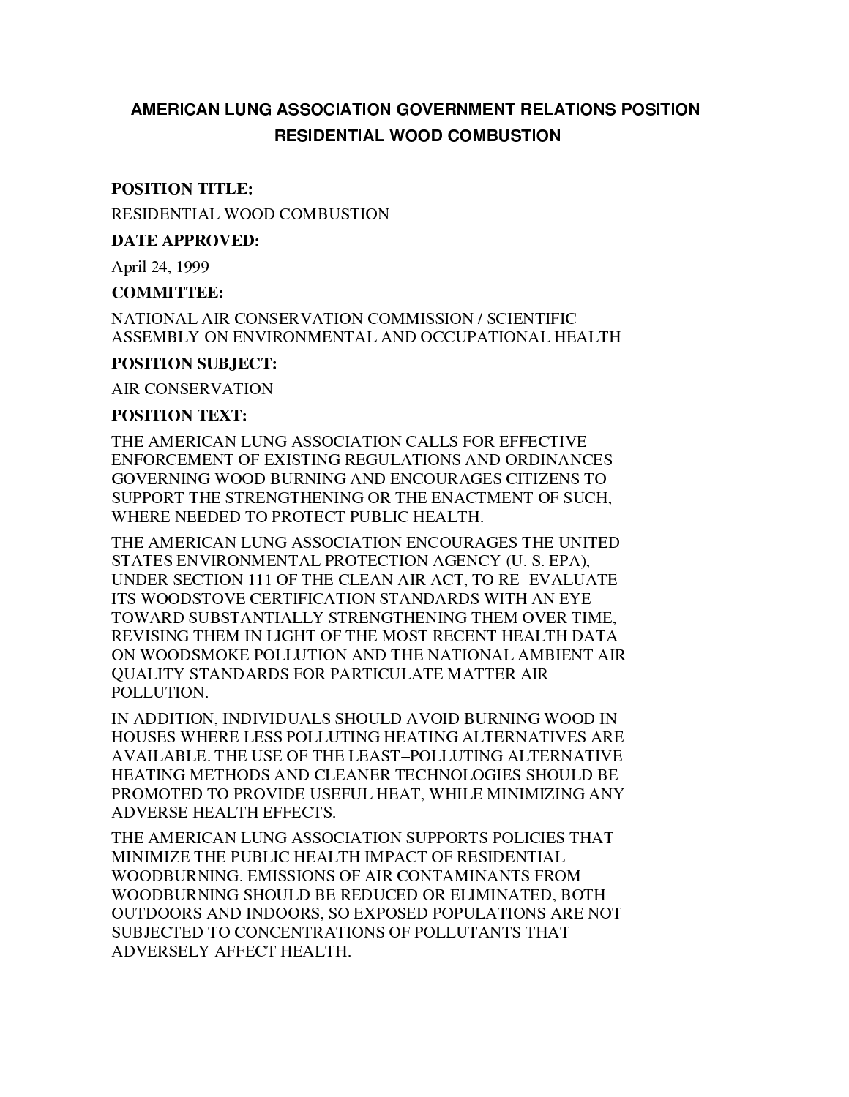# AMERICAN LUNG ASSOCIATION GOVERNMENT RELATIONS POSITION **RESIDENTIAL WOOD COMBUSTION**

### **POSITION TITLE:**

RESIDENTIAL WOOD COMBUSTION

**DATE APPROVED:** 

April 24, 1999

#### **COMMITTEE:**

NATIONAL AIR CONSERVATION COMMISSION / SCIENTIFIC ASSEMBLY ON ENVIRONMENTAL AND OCCUPATIONAL HEALTH

#### **POSITION SUBJECT:**

**AIR CONSERVATION** 

#### **POSITION TEXT:**

THE AMERICAN LUNG ASSOCIATION CALLS FOR EFFECTIVE ENFORCEMENT OF EXISTING REGULATIONS AND ORDINANCES GOVERNING WOOD BURNING AND ENCOURAGES CITIZENS TO SUPPORT THE STRENGTHENING OR THE ENACTMENT OF SUCH. WHERE NEEDED TO PROTECT PUBLIC HEALTH.

THE AMERICAN LUNG ASSOCIATION ENCOURAGES THE UNITED STATES ENVIRONMENTAL PROTECTION AGENCY (U. S. EPA). UNDER SECTION 111 OF THE CLEAN AIR ACT, TO RE-EVALUATE ITS WOODSTOVE CERTIFICATION STANDARDS WITH AN EYE TOWARD SUBSTANTIALLY STRENGTHENING THEM OVER TIME. REVISING THEM IN LIGHT OF THE MOST RECENT HEALTH DATA ON WOODSMOKE POLLUTION AND THE NATIONAL AMBIENT AIR **OUALITY STANDARDS FOR PARTICULATE MATTER AIR** POLLUTION.

IN ADDITION, INDIVIDUALS SHOULD AVOID BURNING WOOD IN HOUSES WHERE LESS POLLUTING HEATING ALTERNATIVES ARE AVAILABLE. THE USE OF THE LEAST-POLLUTING ALTERNATIVE HEATING METHODS AND CLEANER TECHNOLOGIES SHOULD BE PROMOTED TO PROVIDE USEFUL HEAT, WHILE MINIMIZING ANY ADVERSE HEALTH EFFECTS.

THE AMERICAN LUNG ASSOCIATION SUPPORTS POLICIES THAT MINIMIZE THE PUBLIC HEALTH IMPACT OF RESIDENTIAL WOODBURNING. EMISSIONS OF AIR CONTAMINANTS FROM WOODBURNING SHOULD BE REDUCED OR ELIMINATED, BOTH OUTDOORS AND INDOORS, SO EXPOSED POPULATIONS ARE NOT SUBJECTED TO CONCENTRATIONS OF POLLUTANTS THAT ADVERSELY AFFECT HEALTH.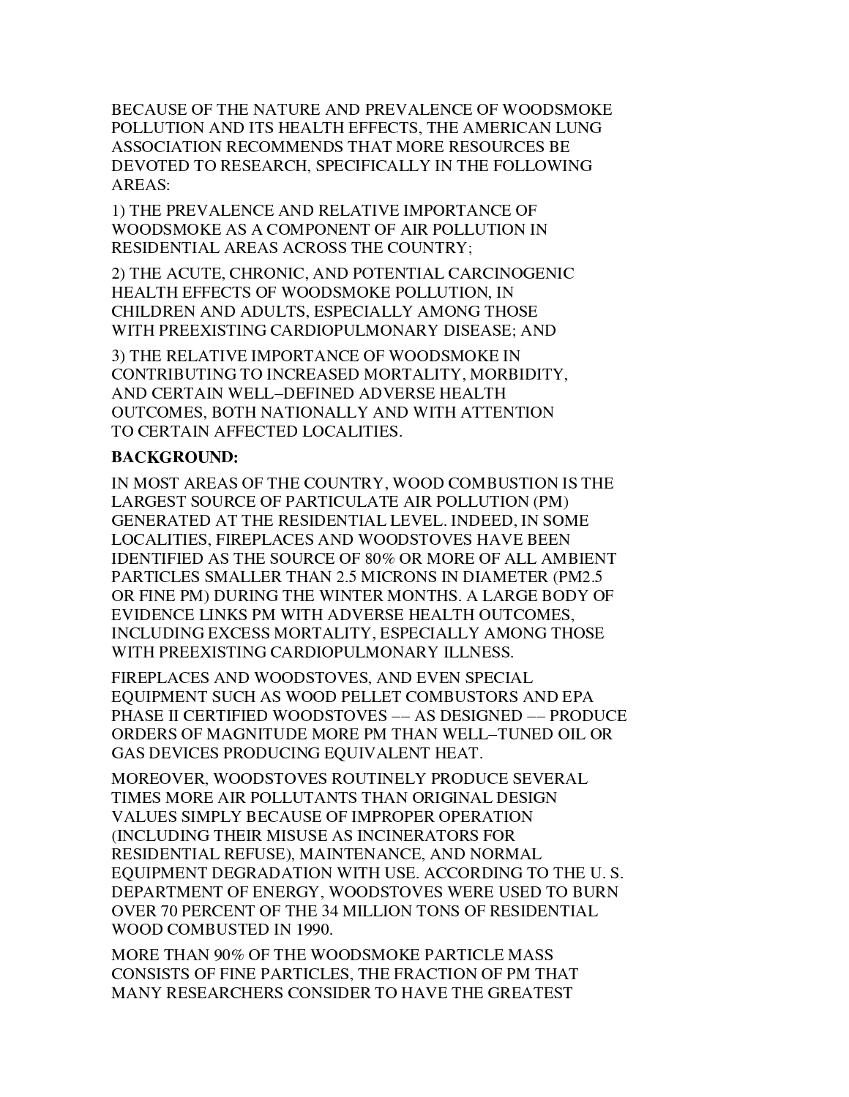BECAUSE OF THE NATURE AND PREVALENCE OF WOODSMOKE POLLUTION AND ITS HEALTH EFFECTS. THE AMERICAN LUNG ASSOCIATION RECOMMENDS THAT MORE RESOURCES BE DEVOTED TO RESEARCH, SPECIFICALLY IN THE FOLLOWING AREAS:

1) THE PREVALENCE AND RELATIVE IMPORTANCE OF WOODSMOKE AS A COMPONENT OF AIR POLLUTION IN RESIDENTIAL AREAS ACROSS THE COUNTRY:

2) THE ACUTE, CHRONIC, AND POTENTIAL CARCINOGENIC HEALTH EFFECTS OF WOODSMOKE POLLUTION. IN CHILDREN AND ADULTS, ESPECIALLY AMONG THOSE WITH PREEXISTING CARDIOPULMONARY DISEASE; AND

3) THE RELATIVE IMPORTANCE OF WOODSMOKE IN CONTRIBUTING TO INCREASED MORTALITY, MORBIDITY, AND CERTAIN WELL-DEFINED ADVERSE HEALTH OUTCOMES, BOTH NATIONALLY AND WITH ATTENTION TO CERTAIN AFFECTED LOCALITIES.

# **BACKGROUND:**

IN MOST AREAS OF THE COUNTRY, WOOD COMBUSTION IS THE LARGEST SOURCE OF PARTICULATE AIR POLLUTION (PM) GENERATED AT THE RESIDENTIAL LEVEL. INDEED, IN SOME LOCALITIES, FIREPLACES AND WOODSTOVES HAVE BEEN IDENTIFIED AS THE SOURCE OF 80% OR MORE OF ALL AMBIENT PARTICLES SMALLER THAN 2.5 MICRONS IN DIAMETER (PM2.5 OR FINE PM) DURING THE WINTER MONTHS. A LARGE BODY OF EVIDENCE LINKS PM WITH ADVERSE HEALTH OUTCOMES, INCLUDING EXCESS MORTALITY, ESPECIALLY AMONG THOSE WITH PREEXISTING CARDIOPULMONARY ILLNESS.

FIREPLACES AND WOODSTOVES, AND EVEN SPECIAL EQUIPMENT SUCH AS WOOD PELLET COMBUSTORS AND EPA PHASE II CERTIFIED WOODSTOVES -- AS DESIGNED -- PRODUCE ORDERS OF MAGNITUDE MORE PM THAN WELL-TUNED OIL OR GAS DEVICES PRODUCING EQUIVALENT HEAT.

MOREOVER, WOODSTOVES ROUTINELY PRODUCE SEVERAL TIMES MORE AIR POLLUTANTS THAN ORIGINAL DESIGN VALUES SIMPLY BECAUSE OF IMPROPER OPERATION (INCLUDING THEIR MISUSE AS INCINERATORS FOR RESIDENTIAL REFUSE), MAINTENANCE, AND NORMAL EQUIPMENT DEGRADATION WITH USE. ACCORDING TO THE U.S. DEPARTMENT OF ENERGY, WOODSTOVES WERE USED TO BURN OVER 70 PERCENT OF THE 34 MILLION TONS OF RESIDENTIAL WOOD COMBUSTED IN 1990.

MORE THAN 90% OF THE WOODSMOKE PARTICLE MASS CONSISTS OF FINE PARTICLES, THE FRACTION OF PM THAT MANY RESEARCHERS CONSIDER TO HAVE THE GREATEST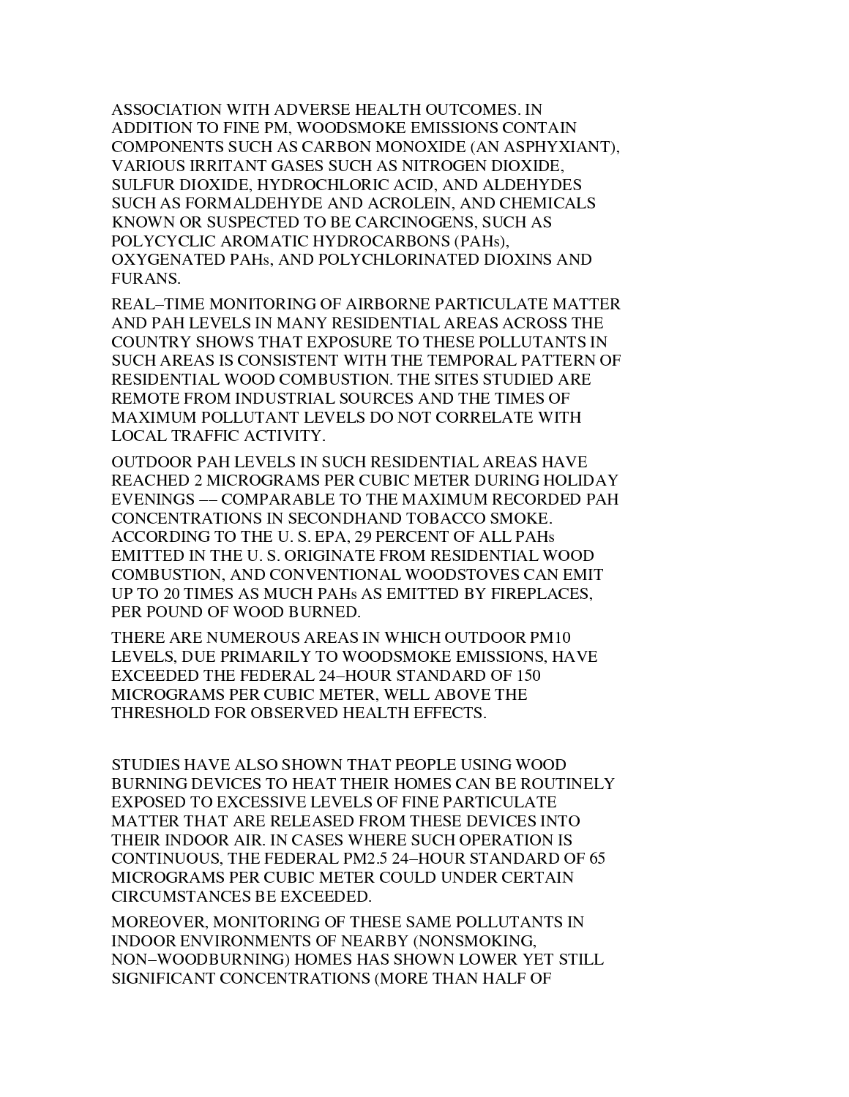ASSOCIATION WITH ADVERSE HEALTH OUTCOMES. IN ADDITION TO FINE PM, WOODSMOKE EMISSIONS CONTAIN COMPONENTS SUCH AS CARBON MONOXIDE (AN ASPHYXIANT), VARIOUS IRRITANT GASES SUCH AS NITROGEN DIOXIDE, SULFUR DIOXIDE, HYDROCHLORIC ACID, AND ALDEHYDES SUCH AS FORMALDEHYDE AND ACROLEIN, AND CHEMICALS KNOWN OR SUSPECTED TO BE CARCINOGENS, SUCH AS POLYCYCLIC AROMATIC HYDROCARBONS (PAHs), OXYGENATED PAHS, AND POLYCHLORINATED DIOXINS AND FURANS.

REAL-TIME MONITORING OF AIRBORNE PARTICULATE MATTER AND PAH LEVELS IN MANY RESIDENTIAL AREAS ACROSS THE COUNTRY SHOWS THAT EXPOSURE TO THESE POLLUTANTS IN SUCH AREAS IS CONSISTENT WITH THE TEMPORAL PATTERN OF RESIDENTIAL WOOD COMBUSTION. THE SITES STUDIED ARE REMOTE FROM INDUSTRIAL SOURCES AND THE TIMES OF MAXIMUM POLLUTANT LEVELS DO NOT CORRELATE WITH LOCAL TRAFFIC ACTIVITY.

OUTDOOR PAH LEVELS IN SUCH RESIDENTIAL AREAS HAVE REACHED 2 MICROGRAMS PER CUBIC METER DURING HOLIDAY EVENINGS -- COMPARABLE TO THE MAXIMUM RECORDED PAH CONCENTRATIONS IN SECONDHAND TOBACCO SMOKE. ACCORDING TO THE U.S. EPA, 29 PERCENT OF ALL PAHS EMITTED IN THE U.S. ORIGINATE FROM RESIDENTIAL WOOD **COMBUSTION, AND CONVENTIONAL WOODSTOVES CAN EMIT** UP TO 20 TIMES AS MUCH PAHS AS EMITTED BY FIREPLACES, PER POUND OF WOOD BURNED.

THERE ARE NUMEROUS AREAS IN WHICH OUTDOOR PM10 LEVELS, DUE PRIMARILY TO WOODSMOKE EMISSIONS, HAVE EXCEEDED THE FEDERAL 24-HOUR STANDARD OF 150 MICROGRAMS PER CUBIC METER. WELL ABOVE THE THRESHOLD FOR OBSERVED HEALTH EFFECTS.

STUDIES HAVE ALSO SHOWN THAT PEOPLE USING WOOD BURNING DEVICES TO HEAT THEIR HOMES CAN BE ROUTINELY EXPOSED TO EXCESSIVE LEVELS OF FINE PARTICULATE MATTER THAT ARE RELEASED FROM THESE DEVICES INTO THEIR INDOOR AIR. IN CASES WHERE SUCH OPERATION IS CONTINUOUS, THE FEDERAL PM2.5 24–HOUR STANDARD OF 65 MICROGRAMS PER CUBIC METER COULD UNDER CERTAIN CIRCUMSTANCES BE EXCEEDED.

MOREOVER, MONITORING OF THESE SAME POLLUTANTS IN INDOOR ENVIRONMENTS OF NEARBY (NONSMOKING, NON-WOODBURNING) HOMES HAS SHOWN LOWER YET STILL SIGNIFICANT CONCENTRATIONS (MORE THAN HALF OF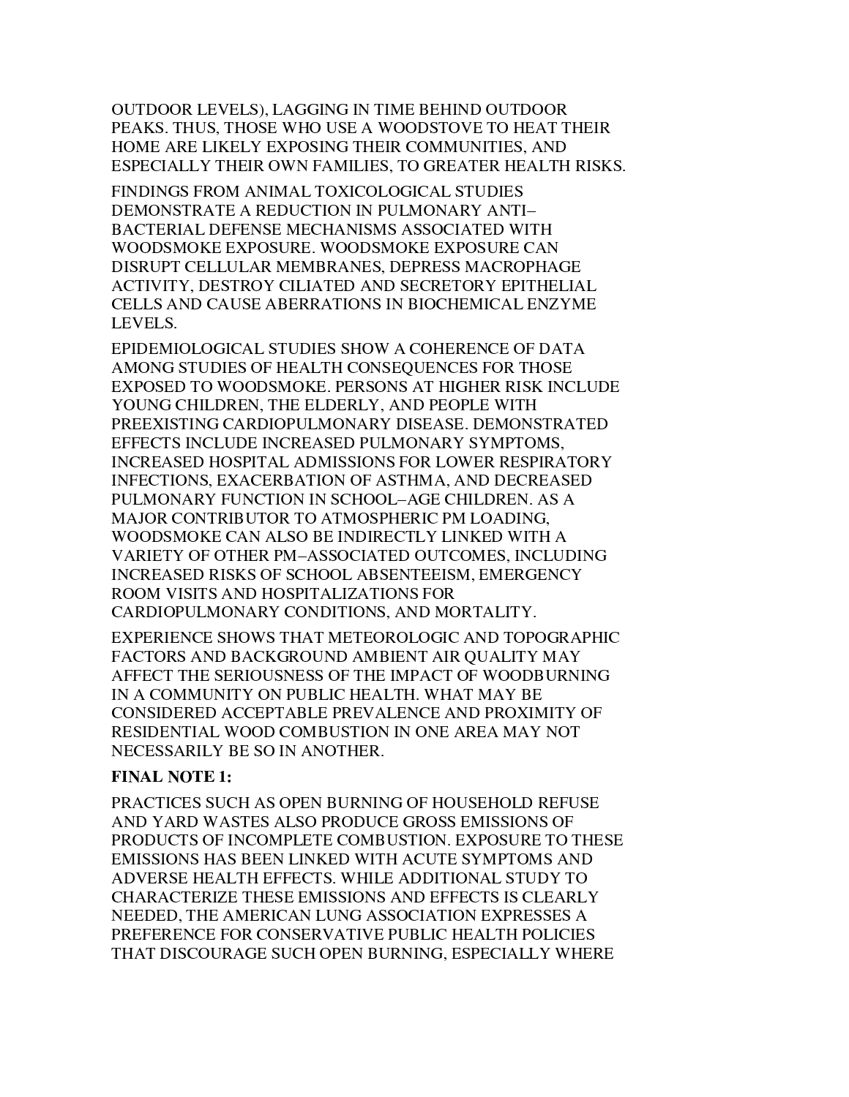OUTDOOR LEVELS), LAGGING IN TIME BEHIND OUTDOOR PEAKS. THUS, THOSE WHO USE A WOODSTOVE TO HEAT THEIR HOME ARE LIKELY EXPOSING THEIR COMMUNITIES, AND ESPECIALLY THEIR OWN FAMILIES, TO GREATER HEALTH RISKS.

FINDINGS FROM ANIMAL TOXICOLOGICAL STUDIES DEMONSTRATE A REDUCTION IN PULMONARY ANTI-BACTERIAL DEFENSE MECHANISMS ASSOCIATED WITH WOODSMOKE EXPOSURE. WOODSMOKE EXPOSURE CAN DISRUPT CELLULAR MEMBRANES, DEPRESS MACROPHAGE ACTIVITY, DESTROY CILIATED AND SECRETORY EPITHELIAL CELLS AND CAUSE ABERRATIONS IN BIOCHEMICAL ENZYME LEVELS.

EPIDEMIOLOGICAL STUDIES SHOW A COHERENCE OF DATA AMONG STUDIES OF HEALTH CONSEQUENCES FOR THOSE EXPOSED TO WOODSMOKE. PERSONS AT HIGHER RISK INCLUDE YOUNG CHILDREN, THE ELDERLY, AND PEOPLE WITH PREEXISTING CARDIOPULMONARY DISEASE. DEMONSTRATED EFFECTS INCLUDE INCREASED PULMONARY SYMPTOMS, INCREASED HOSPITAL ADMISSIONS FOR LOWER RESPIRATORY INFECTIONS, EXACERBATION OF ASTHMA, AND DECREASED PULMONARY FUNCTION IN SCHOOL-AGE CHILDREN. AS A MAJOR CONTRIBUTOR TO ATMOSPHERIC PM LOADING, WOODSMOKE CAN ALSO BE INDIRECTLY LINKED WITH A VARIETY OF OTHER PM-ASSOCIATED OUTCOMES, INCLUDING INCREASED RISKS OF SCHOOL ABSENTEEISM, EMERGENCY ROOM VISITS AND HOSPITALIZATIONS FOR CARDIOPULMONARY CONDITIONS, AND MORTALITY.

EXPERIENCE SHOWS THAT METEOROLOGIC AND TOPOGRAPHIC FACTORS AND BACKGROUND AMBIENT AIR OUALITY MAY AFFECT THE SERIOUSNESS OF THE IMPACT OF WOODBURNING IN A COMMUNITY ON PUBLIC HEALTH. WHAT MAY BE CONSIDERED ACCEPTABLE PREVALENCE AND PROXIMITY OF RESIDENTIAL WOOD COMBUSTION IN ONE AREA MAY NOT NECESSARILY BE SO IN ANOTHER.

# **FINAL NOTE 1:**

PRACTICES SUCH AS OPEN BURNING OF HOUSEHOLD REFUSE AND YARD WASTES ALSO PRODUCE GROSS EMISSIONS OF PRODUCTS OF INCOMPLETE COMBUSTION. EXPOSURE TO THESE EMISSIONS HAS BEEN LINKED WITH ACUTE SYMPTOMS AND ADVERSE HEALTH EFFECTS. WHILE ADDITIONAL STUDY TO CHARACTERIZE THESE EMISSIONS AND EFFECTS IS CLEARLY NEEDED. THE AMERICAN LUNG ASSOCIATION EXPRESSES A PREFERENCE FOR CONSERVATIVE PUBLIC HEALTH POLICIES THAT DISCOURAGE SUCH OPEN BURNING, ESPECIALLY WHERE